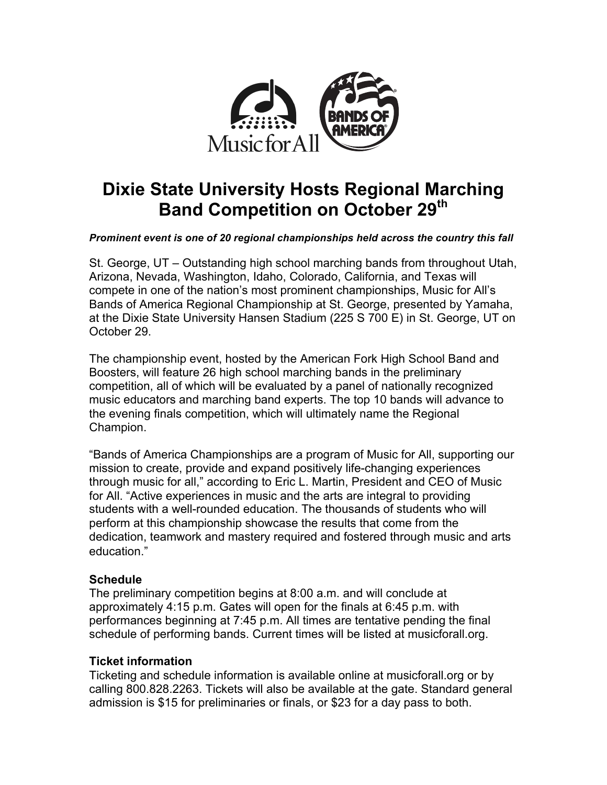

# **Dixie State University Hosts Regional Marching Band Competition on October 29th**

*Prominent event is one of 20 regional championships held across the country this fall*

St. George, UT – Outstanding high school marching bands from throughout Utah, Arizona, Nevada, Washington, Idaho, Colorado, California, and Texas will compete in one of the nation's most prominent championships, Music for All's Bands of America Regional Championship at St. George, presented by Yamaha, at the Dixie State University Hansen Stadium (225 S 700 E) in St. George, UT on October 29.

The championship event, hosted by the American Fork High School Band and Boosters, will feature 26 high school marching bands in the preliminary competition, all of which will be evaluated by a panel of nationally recognized music educators and marching band experts. The top 10 bands will advance to the evening finals competition, which will ultimately name the Regional Champion.

"Bands of America Championships are a program of Music for All, supporting our mission to create, provide and expand positively life-changing experiences through music for all," according to Eric L. Martin, President and CEO of Music for All. "Active experiences in music and the arts are integral to providing students with a well-rounded education. The thousands of students who will perform at this championship showcase the results that come from the dedication, teamwork and mastery required and fostered through music and arts education."

# **Schedule**

The preliminary competition begins at 8:00 a.m. and will conclude at approximately 4:15 p.m. Gates will open for the finals at 6:45 p.m. with performances beginning at 7:45 p.m. All times are tentative pending the final schedule of performing bands. Current times will be listed at musicforall.org.

# **Ticket information**

Ticketing and schedule information is available online at musicforall.org or by calling 800.828.2263. Tickets will also be available at the gate. Standard general admission is \$15 for preliminaries or finals, or \$23 for a day pass to both.